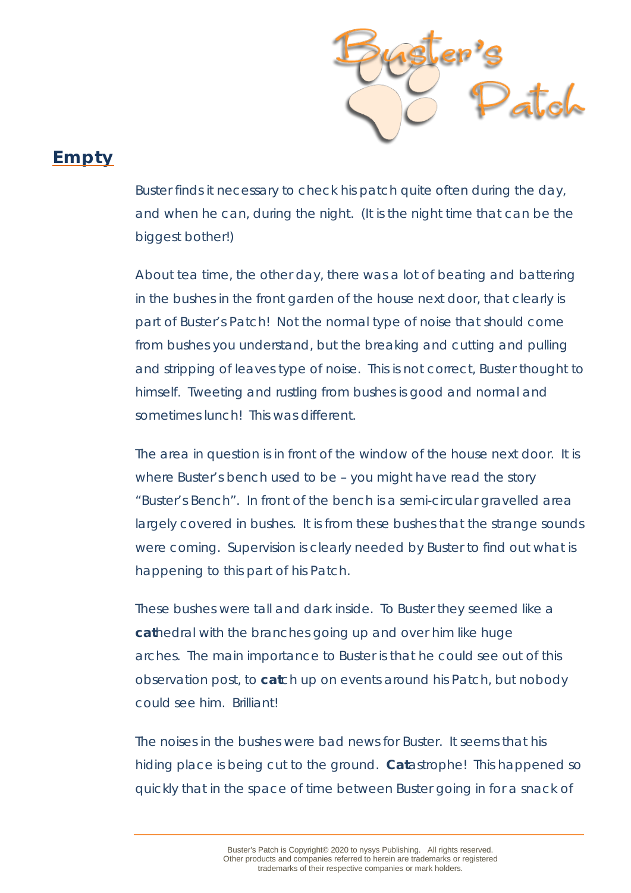

## **Empty**

Buster finds it necessary to check his patch quite often during the day, and when he can, during the night. (It is the night time that can be the biggest bother!)

About tea time, the other day, there was a lot of beating and battering in the bushes in the front garden of the house next door, that clearly is part of Buster's Patch! Not the normal type of noise that should come from bushes you understand, but the breaking and cutting and pulling and stripping of leaves type of noise. This is not correct, Buster thought to himself. Tweeting and rustling from bushes is good and normal and sometimes lunch! This was different.

The area in question is in front of the window of the house next door. It is where Buster's bench used to be – you might have read the story "Buster's Bench". In front of the bench is a semi-circular gravelled area largely covered in bushes. It is from these bushes that the strange sounds were coming. Supervision is clearly needed by Buster to find out what is happening to this part of his Patch.

These bushes were tall and dark inside. To Buster they seemed like a *cat*hedral with the branches going up and over him like huge arches. The main importance to Buster is that he could see out of this observation post, to *cat*ch up on events around his Patch, but nobody could see him. Brilliant!

The noises in the bushes were bad news for Buster. It seems that his hiding place is being cut to the ground. *Cat*astrophe! This happened so quickly that in the space of time between Buster going in for a snack of